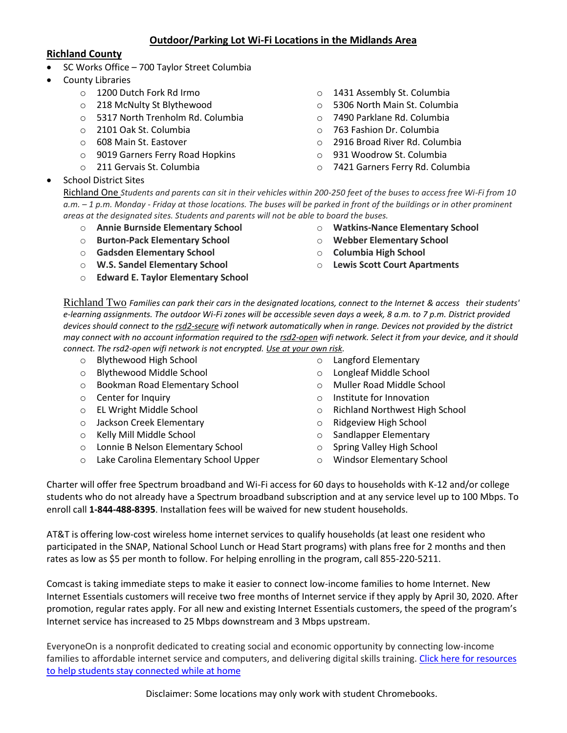# **Outdoor/Parking Lot Wi-Fi Locations in the Midlands Area**

### **Richland County**

- SC Works Office 700 Taylor Street Columbia
- County Libraries

School District Sites

- o 1200 Dutch Fork Rd Irmo
- o 218 McNulty St Blythewood
- o 5317 North Trenholm Rd. Columbia
- o 2101 Oak St. Columbia
- o 608 Main St. Eastover
- o 9019 Garners Ferry Road Hopkins
- o 211 Gervais St. Columbia
- o 1431 Assembly St. Columbia
- o 5306 North Main St. Columbia
- o 7490 Parklane Rd. Columbia
- o 763 Fashion Dr. Columbia
- o 2916 Broad River Rd. Columbia
- o 931 Woodrow St. Columbia
- o 7421 Garners Ferry Rd. Columbia

Richland One *Students and parents can sit in their vehicles within 200-250 feet of the buses to access free Wi-Fi from 10 a.m. – 1 p.m. Monday - Friday at those locations. The buses will be parked in front of the buildings or in other prominent areas at the designated sites. Students and parents will not be able to board the buses.*

- o **Annie Burnside Elementary School**
- o **Burton-Pack Elementary School**
- o **Gadsden Elementary School**
- o **W.S. Sandel Elementary School**
- o **Edward E. Taylor Elementary School**
- o **Watkins-Nance Elementary School**
- o **Webber Elementary School**
- o **Columbia High School**
- o **Lewis Scott Court Apartments**

Richland Two *Families can park their cars in the designated locations, connect to the Internet & access their students' e-learning assignments. The outdoor Wi-Fi zones will be accessible seven days a week, 8 a.m. to 7 p.m. District provided devices should connect to the rsd2-secure wifi network automatically when in range. Devices not provided by the district may connect with no account information required to the rsd2-open wifi network. Select it from your device, and it should connect. The rsd2-open wifi network is not encrypted. Use at your own risk.*

- o Blythewood High School
- o Blythewood Middle School
- o Bookman Road Elementary School
- o Center for Inquiry
- o EL Wright Middle School
- o Jackson Creek Elementary
- o Kelly Mill Middle School
- o Lonnie B Nelson Elementary School
- o Lake Carolina Elementary School Upper
- o Langford Elementary
- o Longleaf Middle School
- o Muller Road Middle School
- o Institute for Innovation
- o Richland Northwest High School
- o Ridgeview High School
- o Sandlapper Elementary
- o Spring Valley High School
- o Windsor Elementary School

Charter will offer free Spectrum broadband and Wi-Fi access for 60 days to households with K-12 and/or college students who do not already have a Spectrum broadband subscription and at any service level up to 100 Mbps. To enroll call **1-844-488-8395**. Installation fees will be waived for new student households.

AT&T is offering low-cost wireless home internet services to qualify households (at least one resident who participated in the SNAP, National School Lunch or Head Start programs) with plans free for 2 months and then rates as low as \$5 per month to follow. For helping enrolling in the program, call 855-220-5211.

Comcast is taking immediate steps to make it easier to connect low-income families to home Internet. New Internet Essentials customers will receive two free months of Internet service if they apply by April 30, 2020. After promotion, regular rates apply. For all new and existing Internet Essentials customers, the speed of the program's Internet service has increased to 25 Mbps downstream and 3 Mbps upstream.

EveryoneOn is a nonprofit dedicated to creating social and economic opportunity by connecting low-income families to affordable internet service and computers, and delivering digital skills training. [Click here for resources](https://www.everyoneon.org/digital-tool-kit)  [to help students stay connected while at home](https://www.everyoneon.org/digital-tool-kit)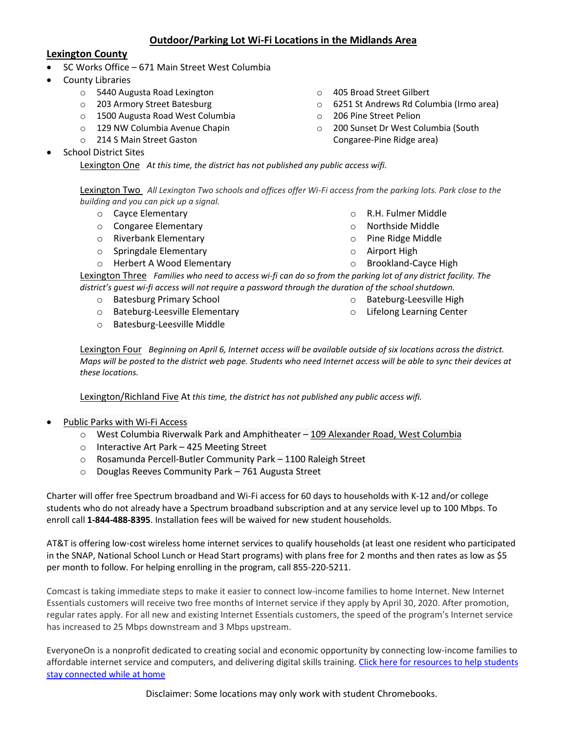## **Outdoor/Parking Lot Wi-Fi Locations in the Midlands Area**

#### **Lexington County**

- SC Works Office 671 Main Street West Columbia
- County Libraries
	- o 5440 Augusta Road Lexington
	- o 203 Armory Street Batesburg
	- o 1500 Augusta Road West Columbia
	- o 129 NW Columbia Avenue Chapin
	- o 214 S Main Street Gaston
- School District Sites

Lexington One *At this time, the district has not published any public access wifi.*

Lexington Two *All Lexington Two schools and offices offer Wi-Fi access from the parking lots. Park close to the building and you can pick up a signal.*

- o Cayce Elementary
- o Congaree Elementary
- o Riverbank Elementary
- o Springdale Elementary
- o Herbert A Wood Elementary
- o 405 Broad Street Gilbert
- o 6251 St Andrews Rd Columbia (Irmo area)
- o 206 Pine Street Pelion
- o 200 Sunset Dr West Columbia (South Congaree-Pine Ridge area)
	- o R.H. Fulmer Middle
	- o Northside Middle
	- o Pine Ridge Middle
	- o Airport High
	- o Brookland-Cayce High

Lexington Three *Families who need to access wi-fi can do so from the parking lot of any district facility. The district's guest wi-fi access will not require a password through the duration of the school shutdown.*

- o Batesburg Primary School
- o Bateburg-Leesville Elementary
- o Batesburg-Leesville Middle

o Bateburg-Leesville High o Lifelong Learning Center

Lexington Four *Beginning on April 6, Internet access will be available outside of six locations across the district. Maps will be posted to the district web page. Students who need Internet access will be able to sync their devices at these locations.*

Lexington/Richland Five At *this time, the district has not published any public access wifi.*

- Public Parks with Wi-Fi Access
	- o West Columbia Riverwalk Park and Amphitheater 109 [Alexander](https://maps.google.com/?q=109+Alexander+Road,+West+Columbia&entry=gmail&source=g) Road, West Columbia
	- o Interactive Art Park 425 Meeting Street
	- o Rosamunda Percell-Butler Community Park 1100 Raleigh Street
	- o Douglas Reeves Community Park 761 Augusta Street

Charter will offer free Spectrum broadband and Wi-Fi access for 60 days to households with K-12 and/or college students who do not already have a Spectrum broadband subscription and at any service level up to 100 Mbps. To enroll call **1-844-488-8395**. Installation fees will be waived for new student households.

AT&T is offering low-cost wireless home internet services to qualify households (at least one resident who participated in the SNAP, National School Lunch or Head Start programs) with plans free for 2 months and then rates as low as \$5 per month to follow. For helping enrolling in the program, call 855-220-5211.

Comcast is taking immediate steps to make it easier to connect low-income families to home Internet. New Internet Essentials customers will receive two free months of Internet service if they apply by April 30, 2020. After promotion, regular rates apply. For all new and existing Internet Essentials customers, the speed of the program's Internet service has increased to 25 Mbps downstream and 3 Mbps upstream.

EveryoneOn is a nonprofit dedicated to creating social and economic opportunity by connecting low-income families to affordable internet service and computers, and delivering digital skills training. [Click here for resources to help students](https://www.everyoneon.org/digital-tool-kit)  [stay connected while at home](https://www.everyoneon.org/digital-tool-kit)

Disclaimer: Some locations may only work with student Chromebooks.